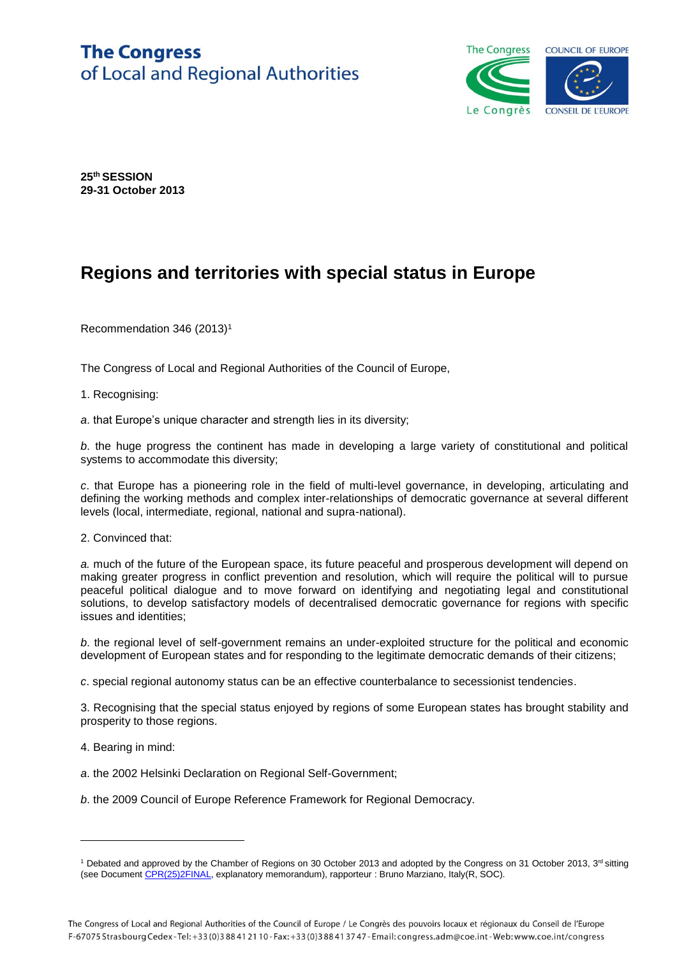## **The Congress** of Local and Regional Authorities



**25th SESSION 29-31 October 2013**

## **Regions and territories with special status in Europe**

Recommendation 346 (2013)<sup>1</sup>

The Congress of Local and Regional Authorities of the Council of Europe,

1. Recognising:

*a*. that Europe's unique character and strength lies in its diversity;

*b*. the huge progress the continent has made in developing a large variety of constitutional and political systems to accommodate this diversity;

*c*. that Europe has a pioneering role in the field of multi-level governance, in developing, articulating and defining the working methods and complex inter-relationships of democratic governance at several different levels (local, intermediate, regional, national and supra-national).

2. Convinced that:

*a.* much of the future of the European space, its future peaceful and prosperous development will depend on making greater progress in conflict prevention and resolution, which will require the political will to pursue peaceful political dialogue and to move forward on identifying and negotiating legal and constitutional solutions, to develop satisfactory models of decentralised democratic governance for regions with specific issues and identities;

*b*. the regional level of self-government remains an under-exploited structure for the political and economic development of European states and for responding to the legitimate democratic demands of their citizens;

*c*. special regional autonomy status can be an effective counterbalance to secessionist tendencies.

3. Recognising that the special status enjoyed by regions of some European states has brought stability and prosperity to those regions.

4. Bearing in mind:

l

*a*. the 2002 Helsinki Declaration on Regional Self-Government;

*b*. the 2009 Council of Europe Reference Framework for Regional Democracy.

<sup>&</sup>lt;sup>1</sup> Debated and approved by the Chamber of Regions on 30 October 2013 and adopted by the Congress on 31 October 2013,  $3<sup>rd</sup>$  sitting (see Documen[t CPR\(25\)2FINAL,](https://wcd.coe.int/ViewDoc.jsp?Ref=CPR(25)2FINAL&Language=lanEnglish&Ver=original&Site=COE&BackColorInternet=C3C3C3&BackColorIntranet=CACC9A&BackColorLogged=EFEA9C) explanatory memorandum), rapporteur : Bruno Marziano, Italy(R, SOC).